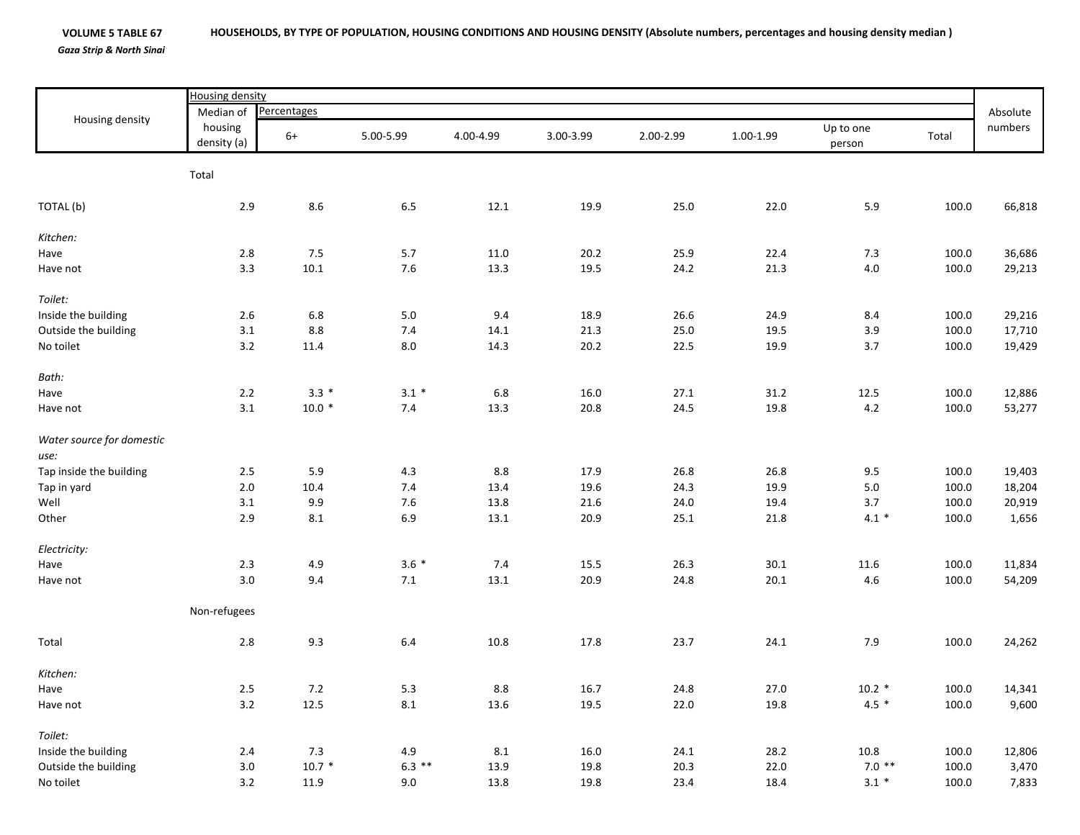## **VOLUME 5 TABLE 67** *Gaza Strip & North Sinai* HOUSEHOLDS, BY TYPE OF POPULATION, HOUSING CONDITIONS AND HOUSING DENSITY (Absolute numbers, percentages and housing density median)

|                           | <b>Housing density</b> |             |           |           |           |           |           |                     |       |          |  |
|---------------------------|------------------------|-------------|-----------|-----------|-----------|-----------|-----------|---------------------|-------|----------|--|
| Housing density           | Median of              | Percentages |           |           |           |           |           |                     |       | Absolute |  |
|                           | housing<br>density (a) | $6+$        | 5.00-5.99 | 4.00-4.99 | 3.00-3.99 | 2.00-2.99 | 1.00-1.99 | Up to one<br>person | Total | numbers  |  |
|                           | Total                  |             |           |           |           |           |           |                     |       |          |  |
| TOTAL (b)                 | $2.9\,$                | 8.6         | 6.5       | 12.1      | 19.9      | 25.0      | 22.0      | 5.9                 | 100.0 | 66,818   |  |
| Kitchen:                  |                        |             |           |           |           |           |           |                     |       |          |  |
| Have                      | $2.8\,$                | $7.5$       | 5.7       | 11.0      | 20.2      | 25.9      | 22.4      | 7.3                 | 100.0 | 36,686   |  |
| Have not                  | 3.3                    | $10.1\,$    | $7.6\,$   | 13.3      | 19.5      | 24.2      | 21.3      | $4.0\,$             | 100.0 | 29,213   |  |
| Toilet:                   |                        |             |           |           |           |           |           |                     |       |          |  |
| Inside the building       | $2.6\,$                | 6.8         | $5.0\,$   | 9.4       | 18.9      | 26.6      | 24.9      | 8.4                 | 100.0 | 29,216   |  |
| Outside the building      | $3.1\,$                | $8.8\,$     | $7.4\,$   | 14.1      | 21.3      | 25.0      | 19.5      | 3.9                 | 100.0 | 17,710   |  |
| No toilet                 | $3.2$                  | 11.4        | $8.0\,$   | 14.3      | 20.2      | 22.5      | 19.9      | $3.7$               | 100.0 | 19,429   |  |
| Bath:                     |                        |             |           |           |           |           |           |                     |       |          |  |
| Have                      | $2.2\,$                | $3.3*$      | $3.1*$    | 6.8       | 16.0      | 27.1      | 31.2      | 12.5                | 100.0 | 12,886   |  |
| Have not                  | 3.1                    | $10.0*$     | 7.4       | 13.3      | 20.8      | 24.5      | 19.8      | 4.2                 | 100.0 | 53,277   |  |
| Water source for domestic |                        |             |           |           |           |           |           |                     |       |          |  |
| use:                      |                        |             |           |           |           |           |           |                     |       |          |  |
| Tap inside the building   | $2.5\,$                | 5.9         | 4.3       | 8.8       | 17.9      | 26.8      | 26.8      | 9.5                 | 100.0 | 19,403   |  |
| Tap in yard               | 2.0                    | 10.4        | 7.4       | 13.4      | 19.6      | 24.3      | 19.9      | 5.0                 | 100.0 | 18,204   |  |
| Well                      | $3.1\,$                | 9.9         | $7.6$     | 13.8      | 21.6      | 24.0      | 19.4      | $3.7\,$             | 100.0 | 20,919   |  |
| Other                     | $2.9$                  | $\bf 8.1$   | 6.9       | 13.1      | 20.9      | 25.1      | 21.8      | $4.1 *$             | 100.0 | 1,656    |  |
| Electricity:              |                        |             |           |           |           |           |           |                     |       |          |  |
| Have                      | $2.3$                  | 4.9         | $3.6*$    | $7.4$     | 15.5      | 26.3      | 30.1      | 11.6                | 100.0 | 11,834   |  |
| Have not                  | 3.0                    | 9.4         | $7.1$     | 13.1      | 20.9      | 24.8      | 20.1      | 4.6                 | 100.0 | 54,209   |  |
|                           | Non-refugees           |             |           |           |           |           |           |                     |       |          |  |
| Total                     | $2.8\,$                | 9.3         | $6.4\,$   | 10.8      | 17.8      | 23.7      | 24.1      | 7.9                 | 100.0 | 24,262   |  |
| Kitchen:                  |                        |             |           |           |           |           |           |                     |       |          |  |
| Have                      | $2.5\,$                | $7.2\,$     | 5.3       | $8.8\,$   | 16.7      | 24.8      | 27.0      | $10.2 *$            | 100.0 | 14,341   |  |
| Have not                  | 3.2                    | 12.5        | $\bf 8.1$ | 13.6      | 19.5      | 22.0      | 19.8      | $4.5 *$             | 100.0 | 9,600    |  |
| Toilet:                   |                        |             |           |           |           |           |           |                     |       |          |  |
| Inside the building       | 2.4                    | 7.3         | 4.9       | $8.1\,$   | 16.0      | 24.1      | 28.2      | $10.8\,$            | 100.0 | 12,806   |  |
| Outside the building      | 3.0                    | $10.7 *$    | $6.3$ **  | 13.9      | 19.8      | 20.3      | 22.0      | $7.0$ **            | 100.0 | 3,470    |  |
| No toilet                 | 3.2                    | 11.9        | 9.0       | 13.8      | 19.8      | 23.4      | 18.4      | $3.1 *$             | 100.0 | 7,833    |  |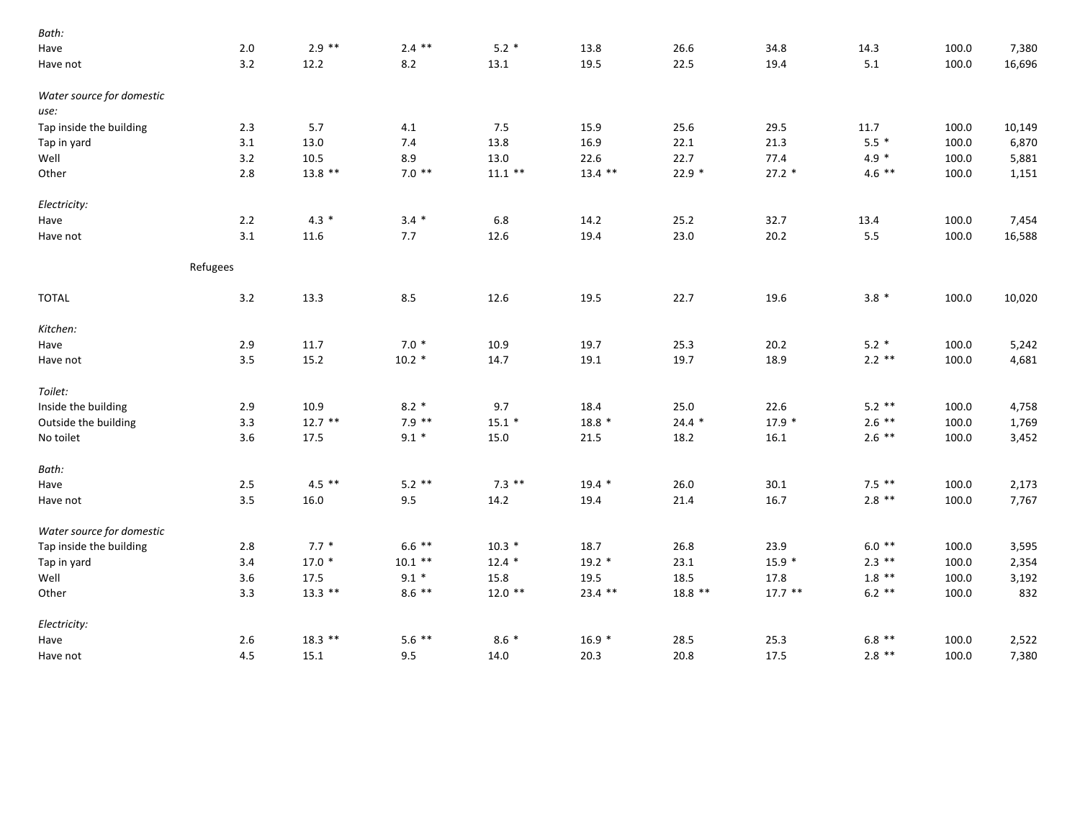| 2.0 | $2.9$ **  | $2.4$ **  | $5.2*$    | 13.8      | 26.6      | 34.8      | 14.3     | 100.0 | 7,380  |
|-----|-----------|-----------|-----------|-----------|-----------|-----------|----------|-------|--------|
| 3.2 | 12.2      | 8.2       | 13.1      | 19.5      | 22.5      | 19.4      | 5.1      | 100.0 | 16,696 |
|     |           |           |           |           |           |           |          |       |        |
|     |           |           |           |           |           |           |          |       |        |
| 2.3 | 5.7       | 4.1       | 7.5       | 15.9      | 25.6      | 29.5      | 11.7     | 100.0 | 10,149 |
| 3.1 | 13.0      | 7.4       | 13.8      | 16.9      | 22.1      | 21.3      | $5.5*$   | 100.0 | 6,870  |
| 3.2 | 10.5      | 8.9       | 13.0      | 22.6      | 22.7      | 77.4      | $4.9 *$  | 100.0 | 5,881  |
| 2.8 | $13.8$ ** | $7.0**$   | $11.1$ ** | $13.4$ ** | $22.9*$   | $27.2*$   | $4.6$ ** | 100.0 | 1,151  |
|     |           |           |           |           |           |           |          |       |        |
| 2.2 | $4.3*$    | $3.4 *$   | 6.8       | 14.2      | 25.2      | 32.7      | 13.4     | 100.0 | 7,454  |
| 3.1 | 11.6      | 7.7       | 12.6      | 19.4      | 23.0      | 20.2      | 5.5      | 100.0 | 16,588 |
|     |           |           |           |           |           |           |          |       |        |
| 3.2 | 13.3      | 8.5       | 12.6      | 19.5      | 22.7      | 19.6      | $3.8*$   | 100.0 | 10,020 |
|     |           |           |           |           |           |           |          |       |        |
| 2.9 | 11.7      | $7.0*$    | 10.9      | 19.7      | 25.3      | 20.2      | $5.2*$   | 100.0 | 5,242  |
| 3.5 | 15.2      | $10.2*$   | 14.7      | 19.1      | 19.7      | 18.9      | $2.2$ ** | 100.0 | 4,681  |
|     |           |           |           |           |           |           |          |       |        |
| 2.9 | 10.9      | $8.2*$    | 9.7       | 18.4      | 25.0      | 22.6      | $5.2$ ** | 100.0 | 4,758  |
| 3.3 | $12.7$ ** | $7.9$ **  | $15.1*$   | $18.8*$   | $24.4$ *  | $17.9*$   | $2.6$ ** | 100.0 | 1,769  |
| 3.6 | 17.5      | $9.1 *$   | 15.0      | 21.5      | 18.2      | 16.1      | $2.6$ ** | 100.0 | 3,452  |
|     |           |           |           |           |           |           |          |       |        |
| 2.5 | $4.5$ **  | $5.2$ **  | $7.3$ **  | $19.4*$   | 26.0      | 30.1      | $7.5$ ** | 100.0 | 2,173  |
| 3.5 | 16.0      | 9.5       | 14.2      | 19.4      | 21.4      | 16.7      | $2.8$ ** | 100.0 | 7,767  |
|     |           |           |           |           |           |           |          |       |        |
| 2.8 | $7.7*$    | $6.6$ **  | $10.3 *$  | 18.7      | 26.8      | 23.9      | $6.0**$  | 100.0 | 3,595  |
| 3.4 | $17.0*$   | $10.1$ ** | $12.4*$   | $19.2*$   | 23.1      | $15.9 *$  | $2.3$ ** | 100.0 | 2,354  |
| 3.6 | 17.5      | $9.1 *$   | 15.8      | 19.5      | 18.5      | 17.8      | $1.8$ ** | 100.0 | 3,192  |
| 3.3 | $13.3$ ** | $8.6$ **  | $12.0$ ** | $23.4$ ** | $18.8$ ** | $17.7$ ** | $6.2$ ** | 100.0 | 832    |
|     |           |           |           |           |           |           |          |       |        |
| 2.6 | $18.3$ ** | $5.6$ **  | $8.6*$    | $16.9*$   | 28.5      | 25.3      | $6.8$ ** | 100.0 | 2,522  |
| 4.5 | 15.1      | 9.5       | 14.0      | 20.3      | 20.8      | 17.5      | $2.8$ ** | 100.0 | 7,380  |
|     | Refugees  |           |           |           |           |           |          |       |        |